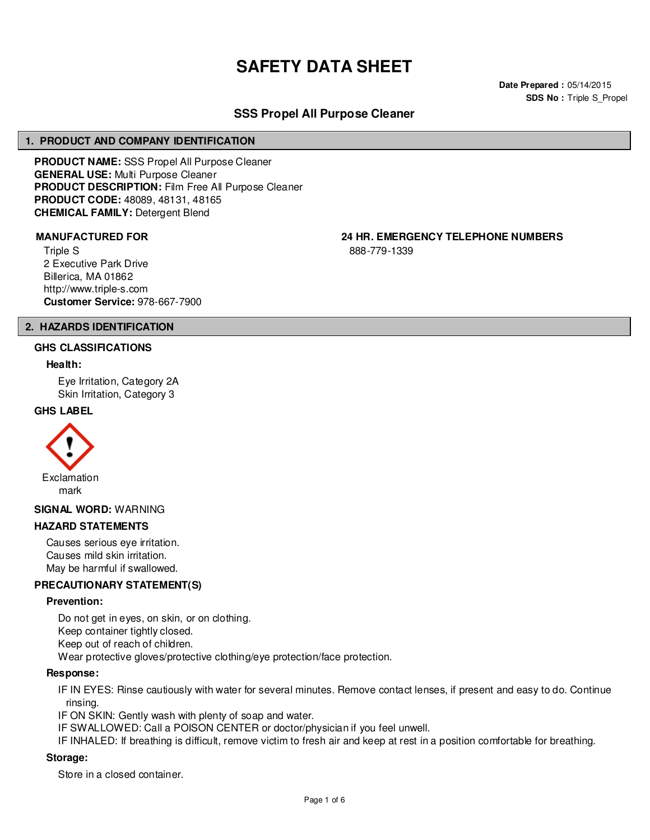# **SAFETY DATA SHEET**

**Date Prepared :** 05/14/2015 **SDS No : Triple S Propel** 

# **SSS Propel All Purpose Cleaner**

#### **1. PRODUCT AND COMPANY IDENTIFICATION**

**PRODUCT NAME:** SSS Propel All Purpose Cleaner **GENERAL USE:** Multi Purpose Cleaner **PRODUCT DESCRIPTION:** Film Free All Purpose Cleaner **PRODUCT CODE:** 48089, 48131, 48165 **CHEMICAL FAMILY:** Detergent Blend

Triple S 2 Executive Park Drive Billerica, MA 01862 http://www.triple-s.com **Customer Service:** 978-667-7900

**MANUFACTURED FOR 24 HR. EMERGENCY TELEPHONE NUMBERS**

888-779-1339

# **2. HAZARDS IDENTIFICATION**

#### **GHS CLASSIFICATIONS**

#### **Health:**

Eye Irritation, Category 2A Skin Irritation, Category 3

#### **GHS LABEL**



#### **SIGNAL WORD:** WARNING

#### **HAZARD STATEMENTS**

Causes serious eye irritation. Causes mild skin irritation. May be harmful if swallowed.

#### **PRECAUTIONARY STATEMENT(S)**

#### **Prevention:**

Do not get in eyes, on skin, or on clothing. Keep container tightly closed. Keep out of reach of children. Wear protective gloves/protective clothing/eye protection/face protection.

#### **Response:**

IF IN EYES: Rinse cautiously with water for several minutes. Remove contact lenses, if present and easy to do. Continue rinsing.

IF ON SKIN: Gently wash with plenty of soap and water.

IF SWALLOWED: Call a POISON CENTER or doctor/physician if you feel unwell.

IF INHALED: If breathing is difficult, remove victim to fresh air and keep at rest in a position comfortable for breathing.

#### **Storage:**

Store in a closed container.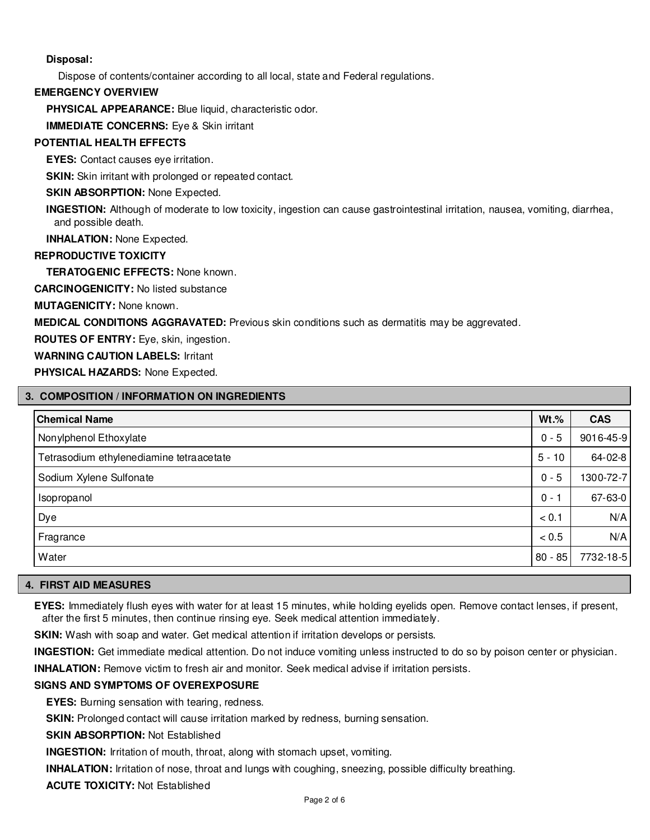# **Disposal:**

Dispose of contents/container according to all local, state and Federal regulations.

### **EMERGENCY OVERVIEW**

**PHYSICAL APPEARANCE:** Blue liquid, characteristic odor.

**IMMEDIATE CONCERNS:** Eye & Skin irritant

# **POTENTIAL HEALTH EFFECTS**

**EYES:** Contact causes eye irritation.

**SKIN:** Skin irritant with prolonged or repeated contact.

## **SKIN ABSORPTION: None Expected.**

**INGESTION:** Although of moderate to low toxicity, ingestion can cause gastrointestinal irritation, nausea, vomiting, diarrhea, and possible death.

**INHALATION:** None Expected.

# **REPRODUCTIVE TOXICITY**

**TERATOGENIC EFFECTS:** None known.

**CARCINOGENICITY:** No listed substance

**MUTAGENICITY:** None known.

**MEDICAL CONDITIONS AGGRAVATED:** Previous skin conditions such as dermatitis may be aggrevated.

**ROUTES OF ENTRY:** Eye, skin, ingestion.

**WARNING CAUTION LABELS:** Irritant

**PHYSICAL HAZARDS:** None Expected.

# **3. COMPOSITION / INFORMATION ON INGREDIENTS**

| <b>Chemical Name</b>                     | $Wt.\%$   | <b>CAS</b> |
|------------------------------------------|-----------|------------|
| Nonylphenol Ethoxylate                   | $0 - 5$   | 9016-45-9  |
| Tetrasodium ethylenediamine tetraacetate | $5 - 10$  | 64-02-8    |
| Sodium Xylene Sulfonate                  | $0 - 5$   | 1300-72-7  |
| Isopropanol                              | $0 - 1$   | 67-63-0    |
| Dye                                      | < 0.1     | N/A        |
| Fragrance                                | < 0.5     | N/A        |
| Water                                    | $80 - 85$ | 7732-18-5  |

#### **4. FIRST AID MEASURES**

**EYES:** Immediately flush eyes with water for at least 15 minutes, while holding eyelids open. Remove contact lenses, if present, after the first 5 minutes, then continue rinsing eye. Seek medical attention immediately.

**SKIN:** Wash with soap and water. Get medical attention if irritation develops or persists.

**INGESTION:** Get immediate medical attention. Do not induce vomiting unless instructed to do so by poison center or physician.

**INHALATION:** Remove victim to fresh air and monitor. Seek medical advise if irritation persists.

# **SIGNS AND SYMPTOMS OF OVEREXPOSURE**

**EYES:** Burning sensation with tearing, redness.

**SKIN:** Prolonged contact will cause irritation marked by redness, burning sensation.

**SKIN ABSORPTION:** Not Established

**INGESTION:** Irritation of mouth, throat, along with stomach upset, vomiting.

**INHALATION:** Irritation of nose, throat and lungs with coughing, sneezing, possible difficulty breathing.

**ACUTE TOXICITY:** Not Established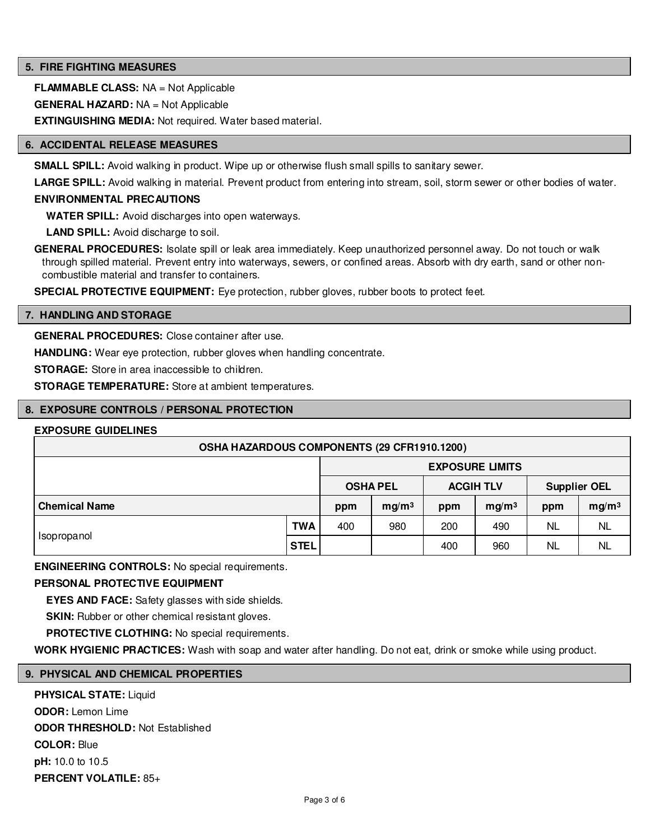## **5. FIRE FIGHTING MEASURES**

**FLAMMABLE CLASS:** NA = Not Applicable

**GENERAL HAZARD:** NA = Not Applicable

**EXTINGUISHING MEDIA:** Not required. Water based material.

#### **6. ACCIDENTAL RELEASE MEASURES**

**SMALL SPILL:** Avoid walking in product. Wipe up or otherwise flush small spills to sanitary sewer.

LARGE SPILL: Avoid walking in material. Prevent product from entering into stream, soil, storm sewer or other bodies of water.

#### **ENVIRONMENTAL PRECAUTIONS**

**WATER SPILL:** Avoid discharges into open waterways.

**LAND SPILL:** Avoid discharge to soil.

**GENERAL PROCEDURES:** Isolate spill or leak area immediately. Keep unauthorized personnel away. Do not touch or walk through spilled material. Prevent entry into waterways, sewers, or confined areas. Absorb with dry earth, sand or other noncombustible material and transfer to containers.

**SPECIAL PROTECTIVE EQUIPMENT:** Eye protection, rubber gloves, rubber boots to protect feet.

#### **7. HANDLING AND STORAGE**

**GENERAL PROCEDURES:** Close container after use.

**HANDLING:** Wear eye protection, rubber gloves when handling concentrate.

**STORAGE:** Store in area inaccessible to children.

**STORAGE TEMPERATURE:** Store at ambient temperatures.

#### **8. EXPOSURE CONTROLS / PERSONAL PROTECTION**

#### **EXPOSURE GUIDELINES**

| OSHA HAZARDOUS COMPONENTS (29 CFR1910.1200) |             |                        |                   |                  |                   |                     |                   |  |
|---------------------------------------------|-------------|------------------------|-------------------|------------------|-------------------|---------------------|-------------------|--|
|                                             |             | <b>EXPOSURE LIMITS</b> |                   |                  |                   |                     |                   |  |
|                                             |             | <b>OSHA PEL</b>        |                   | <b>ACGIH TLV</b> |                   | <b>Supplier OEL</b> |                   |  |
| <b>Chemical Name</b>                        |             | ppm                    | mg/m <sup>3</sup> | ppm              | mg/m <sup>3</sup> | ppm                 | mg/m <sup>3</sup> |  |
| Isopropanol                                 | <b>TWA</b>  | 400                    | 980               | 200              | 490               | <b>NL</b>           | NL                |  |
|                                             | <b>STEL</b> |                        |                   | 400              | 960               | <b>NL</b>           | NL                |  |

**ENGINEERING CONTROLS:** No special requirements.

# **PERSONAL PROTECTIVE EQUIPMENT**

**EYES AND FACE:** Safety glasses with side shields.

**SKIN:** Rubber or other chemical resistant gloves.

**PROTECTIVE CLOTHING:** No special requirements.

**WORK HYGIENIC PRACTICES:** Wash with soap and water after handling. Do not eat, drink or smoke while using product.

#### **9. PHYSICAL AND CHEMICAL PROPERTIES**

**PHYSICAL STATE:** Liquid **ODOR:** Lemon Lime **ODOR THRESHOLD:** Not Established **COLOR:** Blue **pH:** 10.0 to 10.5 **PERCENT VOLATILE:** 85+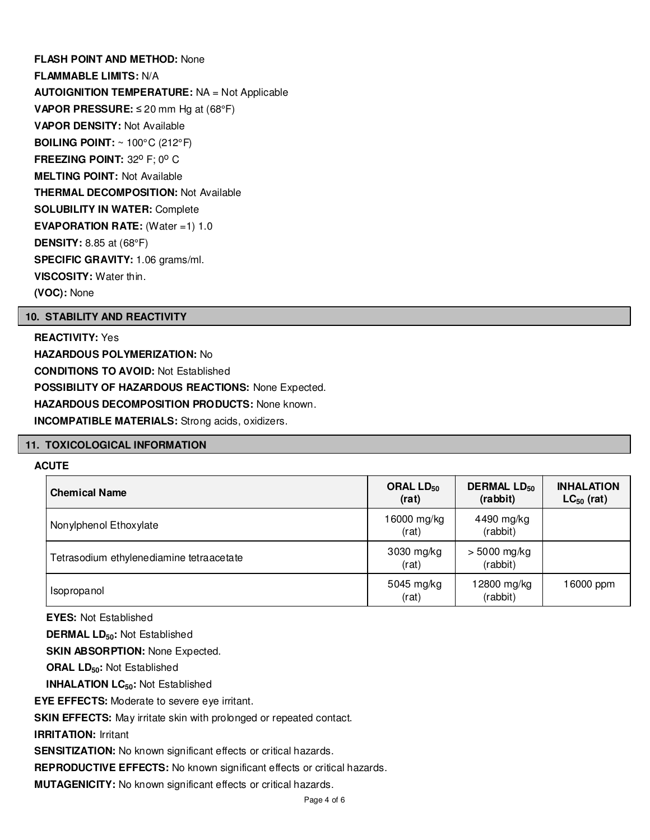**FLASH POINT AND METHOD:** None **FLAMMABLE LIMITS:** N/A **AUTOIGNITION TEMPERATURE:** NA = Not Applicable **VAPOR PRESSURE:** ≤ 20 mm Hg at (68°F) **VAPOR DENSITY:** Not Available **BOILING POINT:** ~ 100°C (212°F) **FREEZING POINT: 32° F; 0° C MELTING POINT:** Not Available **THERMAL DECOMPOSITION:** Not Available **SOLUBILITY IN WATER:** Complete **EVAPORATION RATE:** (Water =1) 1.0 **DENSITY:** 8.85 at (68°F) **SPECIFIC GRAVITY:** 1.06 grams/ml. **VISCOSITY:** Water thin. **(VOC):** None

# **10. STABILITY AND REACTIVITY**

**REACTIVITY:** Yes **HAZARDOUS POLYMERIZATION:** No **CONDITIONS TO AVOID:** Not Established **POSSIBILITY OF HAZARDOUS REACTIONS:** None Expected. **HAZARDOUS DECOMPOSITION PRODUCTS:** None known. **INCOMPATIBLE MATERIALS:** Strong acids, oxidizers.

#### **11. TOXICOLOGICAL INFORMATION**

#### **ACUTE**

| <b>Chemical Name</b>                     | ORAL LD <sub>50</sub><br>(rat) | <b>DERMAL LD<sub>50</sub></b><br>(rabbit) | <b>INHALATION</b><br>$LC_{50}$ (rat) |
|------------------------------------------|--------------------------------|-------------------------------------------|--------------------------------------|
| Nonylphenol Ethoxylate                   | 16000 mg/kg<br>(rat)           | 4490 mg/kg<br>(rabbit)                    |                                      |
| Tetrasodium ethylenediamine tetraacetate | 3030 mg/kg<br>(rat)            | $> 5000$ mg/kg<br>(rabbit)                |                                      |
| Isopropanol                              | 5045 mg/kg<br>(rat)            | 12800 mg/kg<br>(rabbit)                   | 16000 ppm                            |

**EYES:** Not Established

**DERMAL LD50:** Not Established

**SKIN ABSORPTION: None Expected.** 

**ORAL LD50:** Not Established

**INHALATION LC50:** Not Established

**EYE EFFECTS:** Moderate to severe eye irritant.

**SKIN EFFECTS:** May irritate skin with prolonged or repeated contact.

**IRRITATION:** Irritant

SENSITIZATION: No known significant effects or critical hazards.

**REPRODUCTIVE EFFECTS:** No known significant effects or critical hazards.

**MUTAGENICITY:** No known significant effects or critical hazards.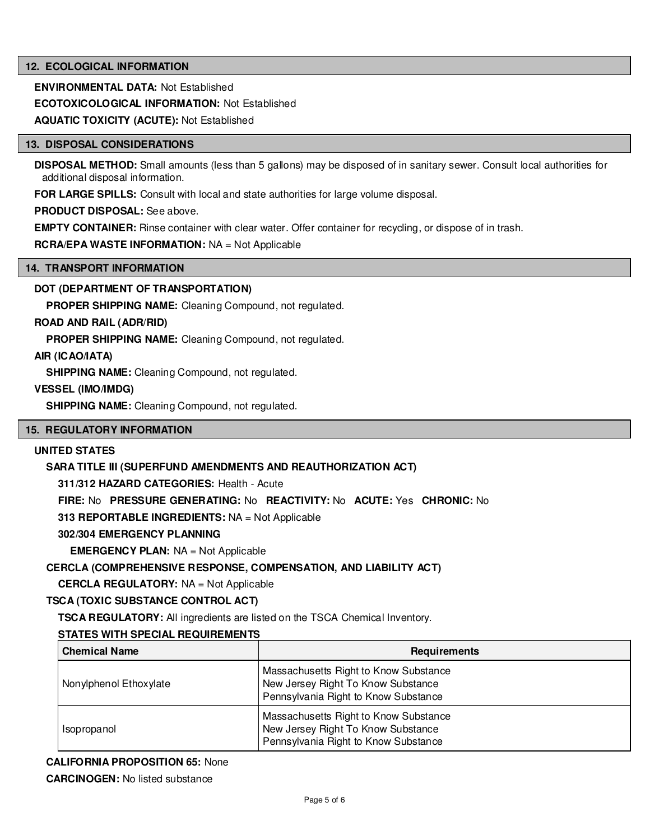# **12. ECOLOGICAL INFORMATION**

**ENVIRONMENTAL DATA:** Not Established

**ECOTOXICOLOGICAL INFORMATION:** Not Established

**AQUATIC TOXICITY (ACUTE):** Not Established

#### **13. DISPOSAL CONSIDERATIONS**

**DISPOSAL METHOD:** Small amounts (less than 5 gallons) may be disposed of in sanitary sewer. Consult local authorities for additional disposal information.

**FOR LARGE SPILLS:** Consult with local and state authorities for large volume disposal.

**PRODUCT DISPOSAL:** See above.

**EMPTY CONTAINER:** Rinse container with clear water. Offer container for recycling, or dispose of in trash.

# **RCRA/EPA WASTE INFORMATION:** NA = Not Applicable

#### **14. TRANSPORT INFORMATION**

# **DOT (DEPARTMENT OF TRANSPORTATION)**

**PROPER SHIPPING NAME:** Cleaning Compound, not regulated.

# **ROAD AND RAIL (ADR/RID)**

**PROPER SHIPPING NAME:** Cleaning Compound, not regulated.

# **AIR (ICAO/IATA)**

**SHIPPING NAME:** Cleaning Compound, not regulated.

# **VESSEL (IMO/IMDG)**

**SHIPPING NAME:** Cleaning Compound, not regulated.

#### **15. REGULATORY INFORMATION**

# **UNITED STATES**

# **SARA TITLE III (SUPERFUND AMENDMENTS AND REAUTHORIZATION ACT)**

**311/312 HAZARD CATEGORIES:** Health - Acute

**FIRE:** No **PRESSURE GENERATING:** No **REACTIVITY:** No **ACUTE:** Yes **CHRONIC:** No

**313 REPORTABLE INGREDIENTS:** NA = Not Applicable

#### **302/304 EMERGENCY PLANNING**

**EMERGENCY PLAN:** NA = Not Applicable

#### **CERCLA (COMPREHENSIVE RESPONSE, COMPENSATION, AND LIABILITY ACT)**

**CERCLA REGULATORY:** NA = Not Applicable

# **TSCA (TOXIC SUBSTANCE CONTROL ACT)**

**TSCA REGULATORY:** All ingredients are listed on the TSCA Chemical Inventory.

#### **STATES WITH SPECIAL REQUIREMENTS**

| <b>Chemical Name</b>   | <b>Requirements</b>                                                                                                 |
|------------------------|---------------------------------------------------------------------------------------------------------------------|
| Nonylphenol Ethoxylate | Massachusetts Right to Know Substance<br>New Jersey Right To Know Substance<br>Pennsylvania Right to Know Substance |
| Isopropanol            | Massachusetts Right to Know Substance<br>New Jersey Right To Know Substance<br>Pennsylvania Right to Know Substance |

# **CALIFORNIA PROPOSITION 65:** None

**CARCINOGEN:** No listed substance